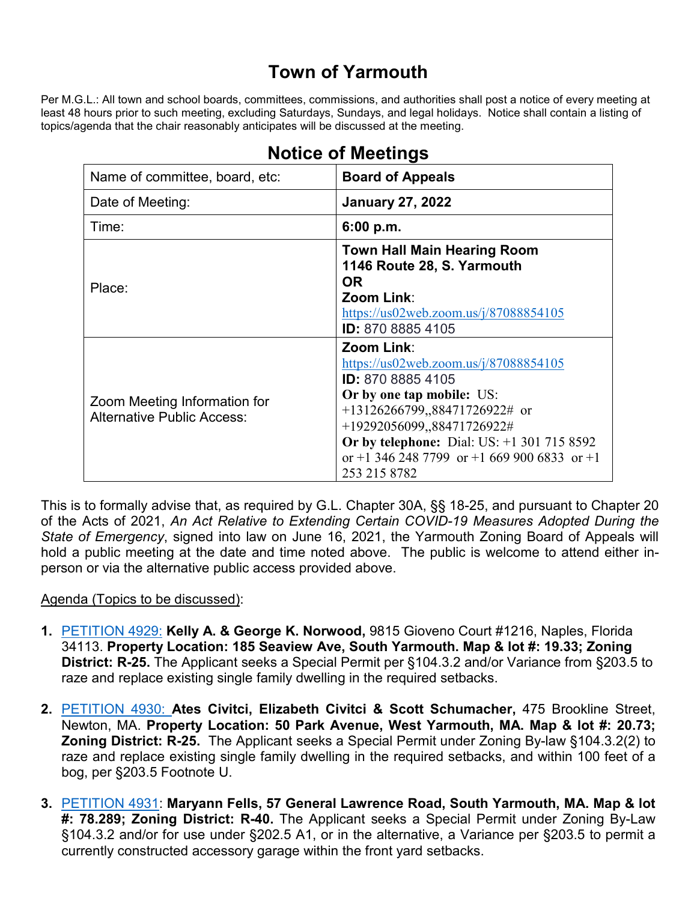## **Town of Yarmouth**

Per M.G.L.: All town and school boards, committees, commissions, and authorities shall post a notice of every meeting at least 48 hours prior to such meeting, excluding Saturdays, Sundays, and legal holidays. Notice shall contain a listing of topics/agenda that the chair reasonably anticipates will be discussed at the meeting.

| Name of committee, board, etc:                                    | <b>Board of Appeals</b>                                                                                                                                                                                                                                                                 |
|-------------------------------------------------------------------|-----------------------------------------------------------------------------------------------------------------------------------------------------------------------------------------------------------------------------------------------------------------------------------------|
| Date of Meeting:                                                  | <b>January 27, 2022</b>                                                                                                                                                                                                                                                                 |
| Time:                                                             | 6:00 p.m.                                                                                                                                                                                                                                                                               |
| Place:                                                            | <b>Town Hall Main Hearing Room</b><br>1146 Route 28, S. Yarmouth<br><b>OR</b><br>Zoom Link:<br>https://us02web.zoom.us/j/87088854105<br><b>ID:</b> 870 8885 4105                                                                                                                        |
| Zoom Meeting Information for<br><b>Alternative Public Access:</b> | Zoom Link:<br>https://us02web.zoom.us/ $j/87088854105$<br>ID: 870 8885 4105<br>Or by one tap mobile: US:<br>$+13126266799,88471726922#$ or<br>+19292056099,,88471726922#<br>Or by telephone: Dial: US: $+1$ 301 715 8592<br>or +1 346 248 7799 or +1 669 900 6833 or +1<br>253 215 8782 |

## **Notice of Meetings**

This is to formally advise that, as required by G.L. Chapter 30A, §§ 18-25, and pursuant to Chapter 20 of the Acts of 2021, *An Act Relative to Extending Certain COVID-19 Measures Adopted During the State of Emergency*, signed into law on June 16, 2021, the Yarmouth Zoning Board of Appeals will hold a public meeting at the date and time noted above. The public is welcome to attend either inperson or via the alternative public access provided above.

## Agenda (Topics to be discussed):

- **1.** [PETITION 4929:](https://lf.yarmouth.ma.us/WebLink/Browse.aspx?id=606008&dbid=0&repo=LASERFICHE) **Kelly A. & George K. Norwood,** 9815 Gioveno Court #1216, Naples, Florida 34113. **Property Location: 185 Seaview Ave, South Yarmouth. Map & lot #: 19.33; Zoning District: R-25.** The Applicant seeks a Special Permit per §104.3.2 and/or Variance from §203.5 to raze and replace existing single family dwelling in the required setbacks.
- **2.** [PETITION 4930:](https://lf.yarmouth.ma.us/WebLink/Browse.aspx?id=659259&dbid=0&repo=LASERFICHE) **Ates Civitci, Elizabeth Civitci & Scott Schumacher,** 475 Brookline Street, Newton, MA. **Property Location: 50 Park Avenue, West Yarmouth, MA. Map & lot #: 20.73; Zoning District: R-25.** The Applicant seeks a Special Permit under Zoning By-law §104.3.2(2) to raze and replace existing single family dwelling in the required setbacks, and within 100 feet of a bog, per §203.5 Footnote U.
- **3.** [PETITION 4931:](https://lf.yarmouth.ma.us/WebLink/Browse.aspx?id=798970&dbid=0&repo=LASERFICHE) **Maryann Fells, 57 General Lawrence Road, South Yarmouth, MA. Map & lot #: 78.289; Zoning District: R-40.** The Applicant seeks a Special Permit under Zoning By-Law §104.3.2 and/or for use under §202.5 A1, or in the alternative, a Variance per §203.5 to permit a currently constructed accessory garage within the front yard setbacks.